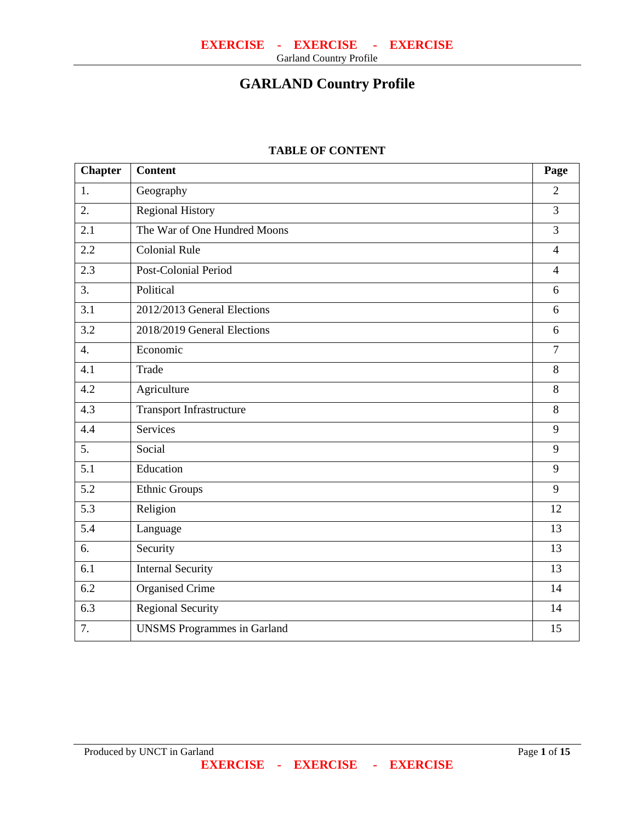# **GARLAND Country Profile**

# **TABLE OF CONTENT**

| <b>Chapter</b>   | <b>Content</b>                     | Page           |
|------------------|------------------------------------|----------------|
| 1.               | Geography                          | $\overline{2}$ |
| 2.               | <b>Regional History</b>            | $\overline{3}$ |
| 2.1              | The War of One Hundred Moons       | $\overline{3}$ |
| 2.2              | <b>Colonial Rule</b>               | $\overline{4}$ |
| 2.3              | Post-Colonial Period               | $\overline{4}$ |
| 3.               | Political                          | 6              |
| 3.1              | 2012/2013 General Elections        | 6              |
| 3.2              | 2018/2019 General Elections        | 6              |
| $\overline{4}$ . | Economic                           | $\overline{7}$ |
| 4.1              | Trade                              | 8              |
| 4.2              | Agriculture                        | 8              |
| 4.3              | <b>Transport Infrastructure</b>    | 8              |
| 4.4              | <b>Services</b>                    | 9              |
| 5.               | Social                             | 9              |
| 5.1              | Education                          | 9              |
| 5.2              | Ethnic Groups                      | 9              |
| 5.3              | Religion                           | 12             |
| 5.4              | Language                           | 13             |
| 6.               | Security                           | 13             |
| 6.1              | <b>Internal Security</b>           | 13             |
| 6.2              | Organised Crime                    | 14             |
| 6.3              | <b>Regional Security</b>           | 14             |
| 7.               | <b>UNSMS</b> Programmes in Garland | 15             |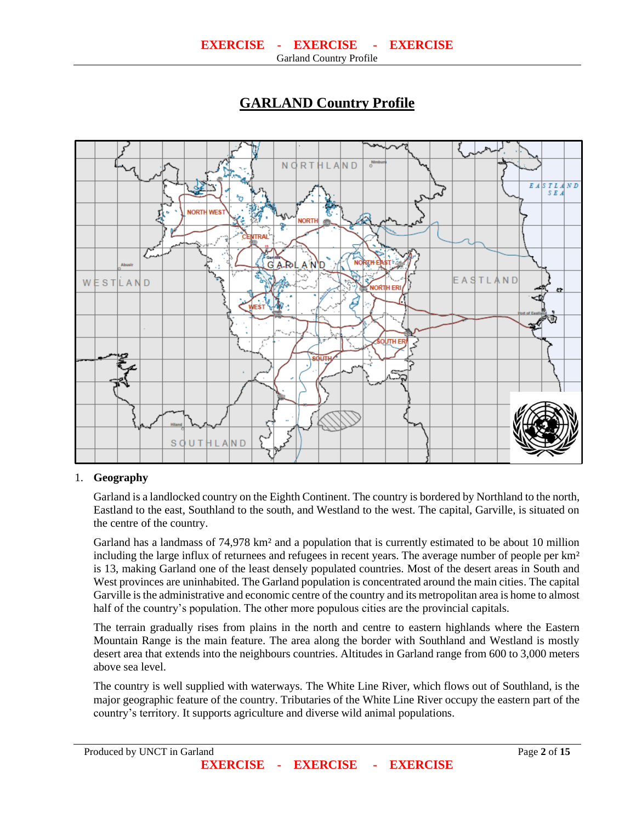

# **GARLAND Country Profile**

# 1. **Geography**

Garland is a landlocked country on the Eighth Continent. The country is bordered by Northland to the north, Eastland to the east, Southland to the south, and Westland to the west. The capital, Garville, is situated on the centre of the country.

Garland has a landmass of 74,978 km² and a population that is currently estimated to be about 10 million including the large influx of returnees and refugees in recent years. The average number of people per km<sup>2</sup> is 13, making Garland one of the least densely populated countries. Most of the desert areas in South and West provinces are uninhabited. The Garland population is concentrated around the main cities. The capital Garville is the administrative and economic centre of the country and its metropolitan area is home to almost half of the country's population. The other more populous cities are the provincial capitals.

The terrain gradually rises from plains in the north and centre to eastern highlands where the Eastern Mountain Range is the main feature. The area along the border with Southland and Westland is mostly desert area that extends into the neighbours countries. Altitudes in Garland range from 600 to 3,000 meters above sea level.

The country is well supplied with waterways. The White Line River, which flows out of Southland, is the major geographic feature of the country. Tributaries of the White Line River occupy the eastern part of the country's territory. It supports agriculture and diverse wild animal populations.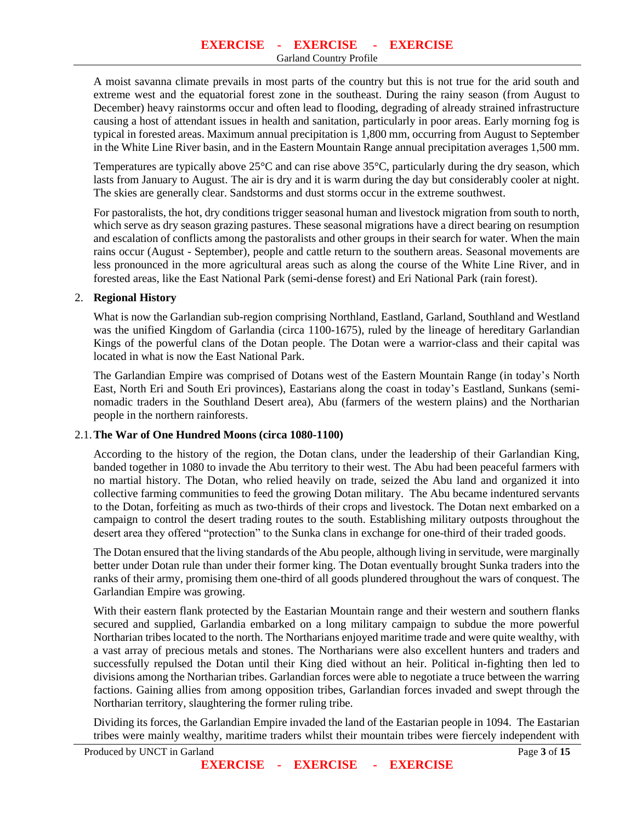A moist savanna climate prevails in most parts of the country but this is not true for the arid south and extreme west and the equatorial forest zone in the southeast. During the rainy season (from August to December) heavy rainstorms occur and often lead to flooding, degrading of already strained infrastructure causing a host of attendant issues in health and sanitation, particularly in poor areas. Early morning fog is typical in forested areas. Maximum annual precipitation is 1,800 mm, occurring from August to September in the White Line River basin, and in the Eastern Mountain Range annual precipitation averages 1,500 mm.

Temperatures are typically above 25°C and can rise above 35°C, particularly during the dry season, which lasts from January to August. The air is dry and it is warm during the day but considerably cooler at night. The skies are generally clear. Sandstorms and dust storms occur in the extreme southwest.

For pastoralists, the hot, dry conditions trigger seasonal human and livestock migration from south to north, which serve as dry season grazing pastures. These seasonal migrations have a direct bearing on resumption and escalation of conflicts among the pastoralists and other groups in their search for water. When the main rains occur (August - September), people and cattle return to the southern areas. Seasonal movements are less pronounced in the more agricultural areas such as along the course of the White Line River, and in forested areas, like the East National Park (semi-dense forest) and Eri National Park (rain forest).

## 2. **Regional History**

What is now the Garlandian sub-region comprising Northland, Eastland, Garland, Southland and Westland was the unified Kingdom of Garlandia (circa 1100-1675), ruled by the lineage of hereditary Garlandian Kings of the powerful clans of the Dotan people. The Dotan were a warrior-class and their capital was located in what is now the East National Park.

The Garlandian Empire was comprised of Dotans west of the Eastern Mountain Range (in today's North East, North Eri and South Eri provinces), Eastarians along the coast in today's Eastland, Sunkans (seminomadic traders in the Southland Desert area), Abu (farmers of the western plains) and the Northarian people in the northern rainforests.

## 2.1.**The War of One Hundred Moons (circa 1080-1100)**

According to the history of the region, the Dotan clans, under the leadership of their Garlandian King, banded together in 1080 to invade the Abu territory to their west. The Abu had been peaceful farmers with no martial history. The Dotan, who relied heavily on trade, seized the Abu land and organized it into collective farming communities to feed the growing Dotan military. The Abu became indentured servants to the Dotan, forfeiting as much as two-thirds of their crops and livestock. The Dotan next embarked on a campaign to control the desert trading routes to the south. Establishing military outposts throughout the desert area they offered "protection" to the Sunka clans in exchange for one-third of their traded goods.

The Dotan ensured that the living standards of the Abu people, although living in servitude, were marginally better under Dotan rule than under their former king. The Dotan eventually brought Sunka traders into the ranks of their army, promising them one-third of all goods plundered throughout the wars of conquest. The Garlandian Empire was growing.

With their eastern flank protected by the Eastarian Mountain range and their western and southern flanks secured and supplied, Garlandia embarked on a long military campaign to subdue the more powerful Northarian tribes located to the north. The Northarians enjoyed maritime trade and were quite wealthy, with a vast array of precious metals and stones. The Northarians were also excellent hunters and traders and successfully repulsed the Dotan until their King died without an heir. Political in-fighting then led to divisions among the Northarian tribes. Garlandian forces were able to negotiate a truce between the warring factions. Gaining allies from among opposition tribes, Garlandian forces invaded and swept through the Northarian territory, slaughtering the former ruling tribe.

Dividing its forces, the Garlandian Empire invaded the land of the Eastarian people in 1094. The Eastarian tribes were mainly wealthy, maritime traders whilst their mountain tribes were fiercely independent with

**EXERCISE - EXERCISE - EXERCISE**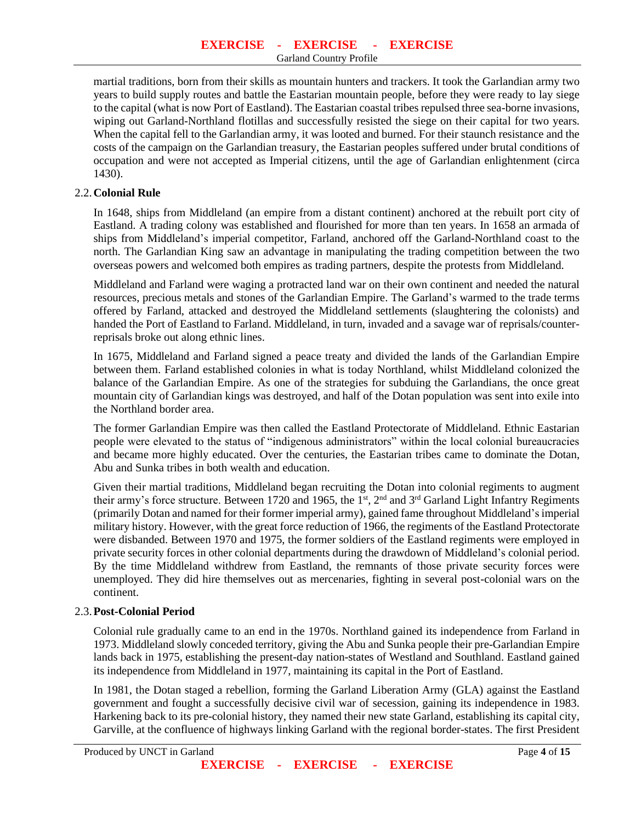martial traditions, born from their skills as mountain hunters and trackers. It took the Garlandian army two years to build supply routes and battle the Eastarian mountain people, before they were ready to lay siege to the capital (what is now Port of Eastland). The Eastarian coastal tribes repulsed three sea-borne invasions, wiping out Garland-Northland flotillas and successfully resisted the siege on their capital for two years. When the capital fell to the Garlandian army, it was looted and burned. For their staunch resistance and the costs of the campaign on the Garlandian treasury, the Eastarian peoples suffered under brutal conditions of occupation and were not accepted as Imperial citizens, until the age of Garlandian enlightenment (circa 1430).

#### 2.2.**Colonial Rule**

In 1648, ships from Middleland (an empire from a distant continent) anchored at the rebuilt port city of Eastland. A trading colony was established and flourished for more than ten years. In 1658 an armada of ships from Middleland's imperial competitor, Farland, anchored off the Garland-Northland coast to the north. The Garlandian King saw an advantage in manipulating the trading competition between the two overseas powers and welcomed both empires as trading partners, despite the protests from Middleland.

Middleland and Farland were waging a protracted land war on their own continent and needed the natural resources, precious metals and stones of the Garlandian Empire. The Garland's warmed to the trade terms offered by Farland, attacked and destroyed the Middleland settlements (slaughtering the colonists) and handed the Port of Eastland to Farland. Middleland, in turn, invaded and a savage war of reprisals/counterreprisals broke out along ethnic lines.

In 1675, Middleland and Farland signed a peace treaty and divided the lands of the Garlandian Empire between them. Farland established colonies in what is today Northland, whilst Middleland colonized the balance of the Garlandian Empire. As one of the strategies for subduing the Garlandians, the once great mountain city of Garlandian kings was destroyed, and half of the Dotan population was sent into exile into the Northland border area.

The former Garlandian Empire was then called the Eastland Protectorate of Middleland. Ethnic Eastarian people were elevated to the status of "indigenous administrators" within the local colonial bureaucracies and became more highly educated. Over the centuries, the Eastarian tribes came to dominate the Dotan, Abu and Sunka tribes in both wealth and education.

Given their martial traditions, Middleland began recruiting the Dotan into colonial regiments to augment their army's force structure. Between 1720 and 1965, the  $1<sup>st</sup>$ ,  $2<sup>nd</sup>$  and  $3<sup>rd</sup>$  Garland Light Infantry Regiments (primarily Dotan and named for their former imperial army), gained fame throughout Middleland'simperial military history. However, with the great force reduction of 1966, the regiments of the Eastland Protectorate were disbanded. Between 1970 and 1975, the former soldiers of the Eastland regiments were employed in private security forces in other colonial departments during the drawdown of Middleland's colonial period. By the time Middleland withdrew from Eastland, the remnants of those private security forces were unemployed. They did hire themselves out as mercenaries, fighting in several post-colonial wars on the continent.

## 2.3.**Post-Colonial Period**

Colonial rule gradually came to an end in the 1970s. Northland gained its independence from Farland in 1973. Middleland slowly conceded territory, giving the Abu and Sunka people their pre-Garlandian Empire lands back in 1975, establishing the present-day nation-states of Westland and Southland. Eastland gained its independence from Middleland in 1977, maintaining its capital in the Port of Eastland.

In 1981, the Dotan staged a rebellion, forming the Garland Liberation Army (GLA) against the Eastland government and fought a successfully decisive civil war of secession, gaining its independence in 1983. Harkening back to its pre-colonial history, they named their new state Garland, establishing its capital city, Garville, at the confluence of highways linking Garland with the regional border-states. The first President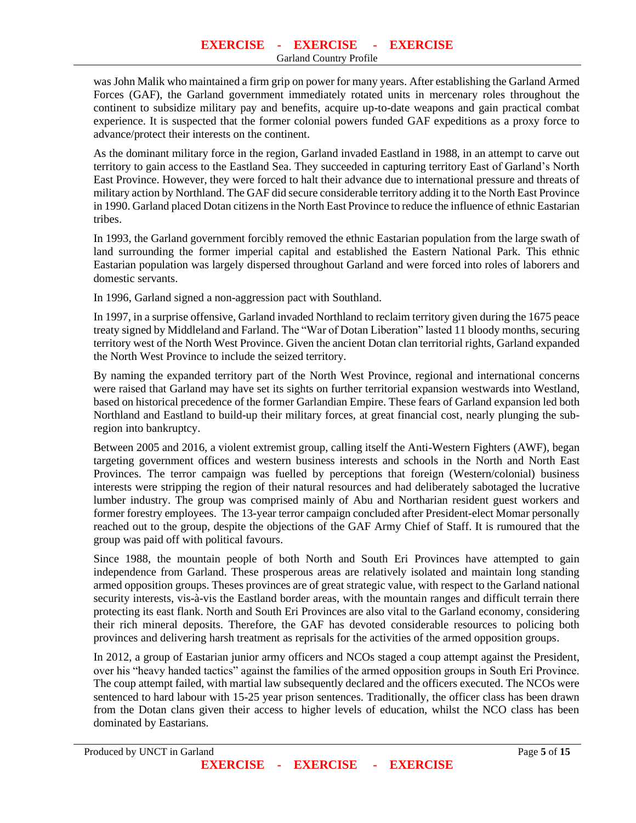was John Malik who maintained a firm grip on power for many years. After establishing the Garland Armed Forces (GAF), the Garland government immediately rotated units in mercenary roles throughout the continent to subsidize military pay and benefits, acquire up-to-date weapons and gain practical combat experience. It is suspected that the former colonial powers funded GAF expeditions as a proxy force to advance/protect their interests on the continent.

As the dominant military force in the region, Garland invaded Eastland in 1988, in an attempt to carve out territory to gain access to the Eastland Sea. They succeeded in capturing territory East of Garland's North East Province. However, they were forced to halt their advance due to international pressure and threats of military action by Northland. The GAF did secure considerable territory adding it to the North East Province in 1990. Garland placed Dotan citizens in the North East Province to reduce the influence of ethnic Eastarian tribes.

In 1993, the Garland government forcibly removed the ethnic Eastarian population from the large swath of land surrounding the former imperial capital and established the Eastern National Park. This ethnic Eastarian population was largely dispersed throughout Garland and were forced into roles of laborers and domestic servants.

In 1996, Garland signed a non-aggression pact with Southland.

In 1997, in a surprise offensive, Garland invaded Northland to reclaim territory given during the 1675 peace treaty signed by Middleland and Farland. The "War of Dotan Liberation" lasted 11 bloody months, securing territory west of the North West Province. Given the ancient Dotan clan territorial rights, Garland expanded the North West Province to include the seized territory.

By naming the expanded territory part of the North West Province, regional and international concerns were raised that Garland may have set its sights on further territorial expansion westwards into Westland, based on historical precedence of the former Garlandian Empire. These fears of Garland expansion led both Northland and Eastland to build-up their military forces, at great financial cost, nearly plunging the subregion into bankruptcy.

Between 2005 and 2016, a violent extremist group, calling itself the Anti-Western Fighters (AWF), began targeting government offices and western business interests and schools in the North and North East Provinces. The terror campaign was fuelled by perceptions that foreign (Western/colonial) business interests were stripping the region of their natural resources and had deliberately sabotaged the lucrative lumber industry. The group was comprised mainly of Abu and Northarian resident guest workers and former forestry employees. The 13-year terror campaign concluded after President-elect Momar personally reached out to the group, despite the objections of the GAF Army Chief of Staff. It is rumoured that the group was paid off with political favours.

Since 1988, the mountain people of both North and South Eri Provinces have attempted to gain independence from Garland. These prosperous areas are relatively isolated and maintain long standing armed opposition groups. Theses provinces are of great strategic value, with respect to the Garland national security interests, vis-à-vis the Eastland border areas, with the mountain ranges and difficult terrain there protecting its east flank. North and South Eri Provinces are also vital to the Garland economy, considering their rich mineral deposits. Therefore, the GAF has devoted considerable resources to policing both provinces and delivering harsh treatment as reprisals for the activities of the armed opposition groups.

In 2012, a group of Eastarian junior army officers and NCOs staged a coup attempt against the President, over his "heavy handed tactics" against the families of the armed opposition groups in South Eri Province. The coup attempt failed, with martial law subsequently declared and the officers executed. The NCOs were sentenced to hard labour with 15-25 year prison sentences. Traditionally, the officer class has been drawn from the Dotan clans given their access to higher levels of education, whilst the NCO class has been dominated by Eastarians.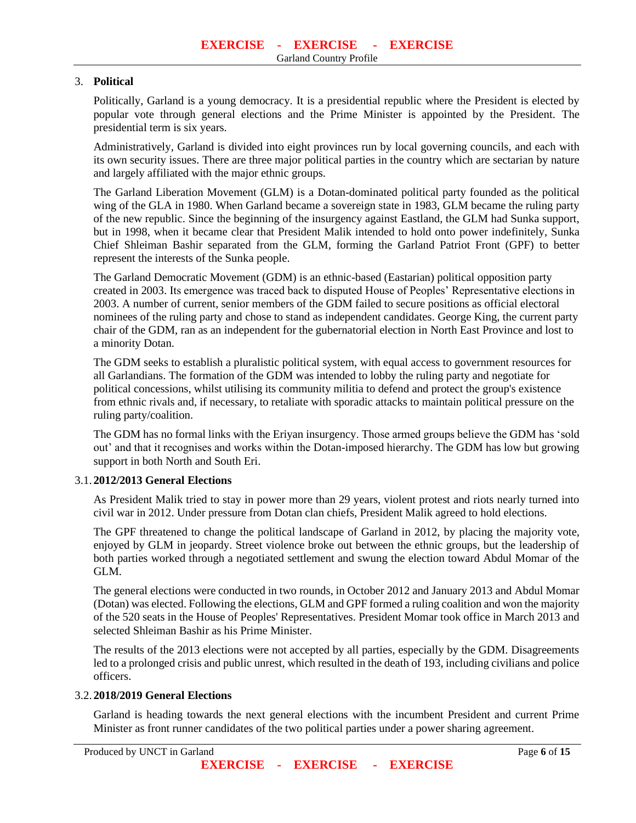# 3. **Political**

Politically, Garland is a young democracy. It is a presidential republic where the President is elected by popular vote through general elections and the Prime Minister is appointed by the President. The presidential term is six years.

Administratively, Garland is divided into eight provinces run by local governing councils, and each with its own security issues. There are three major political parties in the country which are sectarian by nature and largely affiliated with the major ethnic groups.

The Garland Liberation Movement (GLM) is a Dotan-dominated political party founded as the political wing of the GLA in 1980. When Garland became a sovereign state in 1983, GLM became the ruling party of the new republic. Since the beginning of the insurgency against Eastland, the GLM had Sunka support, but in 1998, when it became clear that President Malik intended to hold onto power indefinitely, Sunka Chief Shleiman Bashir separated from the GLM, forming the Garland Patriot Front (GPF) to better represent the interests of the Sunka people.

The Garland Democratic Movement (GDM) is an ethnic-based (Eastarian) political opposition party created in 2003. Its emergence was traced back to disputed House of Peoples' Representative elections in 2003. A number of current, senior members of the GDM failed to secure positions as official electoral nominees of the ruling party and chose to stand as independent candidates. George King, the current party chair of the GDM, ran as an independent for the gubernatorial election in North East Province and lost to a minority Dotan.

The GDM seeks to establish a pluralistic political system, with equal access to government resources for all Garlandians. The formation of the GDM was intended to lobby the ruling party and negotiate for political concessions, whilst utilising its community militia to defend and protect the group's existence from ethnic rivals and, if necessary, to retaliate with sporadic attacks to maintain political pressure on the ruling party/coalition.

The GDM has no formal links with the Eriyan insurgency. Those armed groups believe the GDM has 'sold out' and that it recognises and works within the Dotan-imposed hierarchy. The GDM has low but growing support in both North and South Eri.

## 3.1. **2012/2013 General Elections**

As President Malik tried to stay in power more than 29 years, violent protest and riots nearly turned into civil war in 2012. Under pressure from Dotan clan chiefs, President Malik agreed to hold elections.

The GPF threatened to change the political landscape of Garland in 2012, by placing the majority vote, enjoyed by GLM in jeopardy. Street violence broke out between the ethnic groups, but the leadership of both parties worked through a negotiated settlement and swung the election toward Abdul Momar of the GLM.

The general elections were conducted in two rounds, in October 2012 and January 2013 and Abdul Momar (Dotan) was elected. Following the elections, GLM and GPF formed a ruling coalition and won the majority of the 520 seats in the House of Peoples' Representatives. President Momar took office in March 2013 and selected Shleiman Bashir as his Prime Minister.

The results of the 2013 elections were not accepted by all parties, especially by the GDM. Disagreements led to a prolonged crisis and public unrest, which resulted in the death of 193, including civilians and police officers.

## 3.2. **2018/2019 General Elections**

Garland is heading towards the next general elections with the incumbent President and current Prime Minister as front runner candidates of the two political parties under a power sharing agreement.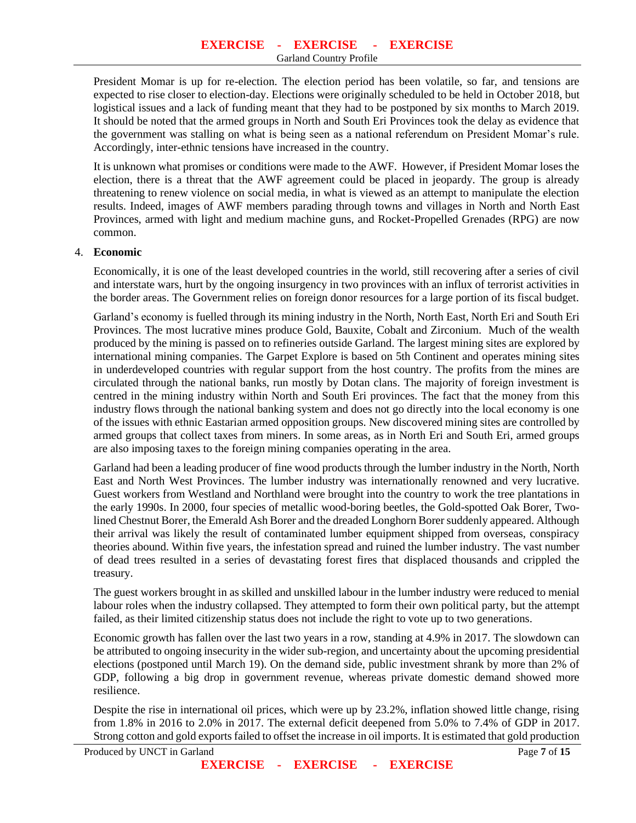President Momar is up for re-election. The election period has been volatile, so far, and tensions are expected to rise closer to election-day. Elections were originally scheduled to be held in October 2018, but logistical issues and a lack of funding meant that they had to be postponed by six months to March 2019. It should be noted that the armed groups in North and South Eri Provinces took the delay as evidence that the government was stalling on what is being seen as a national referendum on President Momar's rule. Accordingly, inter-ethnic tensions have increased in the country.

It is unknown what promises or conditions were made to the AWF. However, if President Momar loses the election, there is a threat that the AWF agreement could be placed in jeopardy. The group is already threatening to renew violence on social media, in what is viewed as an attempt to manipulate the election results. Indeed, images of AWF members parading through towns and villages in North and North East Provinces, armed with light and medium machine guns, and Rocket-Propelled Grenades (RPG) are now common.

#### 4. **Economic**

Economically, it is one of the least developed countries in the world, still recovering after a series of civil and interstate wars, hurt by the ongoing insurgency in two provinces with an influx of terrorist activities in the border areas. The Government relies on foreign donor resources for a large portion of its fiscal budget.

Garland's economy is fuelled through its mining industry in the North, North East, North Eri and South Eri Provinces. The most lucrative mines produce Gold, Bauxite, Cobalt and Zirconium. Much of the wealth produced by the mining is passed on to refineries outside Garland. The largest mining sites are explored by international mining companies. The Garpet Explore is based on 5th Continent and operates mining sites in underdeveloped countries with regular support from the host country. The profits from the mines are circulated through the national banks, run mostly by Dotan clans. The majority of foreign investment is centred in the mining industry within North and South Eri provinces. The fact that the money from this industry flows through the national banking system and does not go directly into the local economy is one of the issues with ethnic Eastarian armed opposition groups. New discovered mining sites are controlled by armed groups that collect taxes from miners. In some areas, as in North Eri and South Eri, armed groups are also imposing taxes to the foreign mining companies operating in the area.

Garland had been a leading producer of fine wood products through the lumber industry in the North, North East and North West Provinces. The lumber industry was internationally renowned and very lucrative. Guest workers from Westland and Northland were brought into the country to work the tree plantations in the early 1990s. In 2000, four species of metallic wood-boring beetles, the Gold-spotted Oak Borer, Twolined Chestnut Borer, the Emerald Ash Borer and the dreaded Longhorn Borer suddenly appeared. Although their arrival was likely the result of contaminated lumber equipment shipped from overseas, conspiracy theories abound. Within five years, the infestation spread and ruined the lumber industry. The vast number of dead trees resulted in a series of devastating forest fires that displaced thousands and crippled the treasury.

The guest workers brought in as skilled and unskilled labour in the lumber industry were reduced to menial labour roles when the industry collapsed. They attempted to form their own political party, but the attempt failed, as their limited citizenship status does not include the right to vote up to two generations.

Economic growth has fallen over the last two years in a row, standing at 4.9% in 2017. The slowdown can be attributed to ongoing insecurity in the wider sub-region, and uncertainty about the upcoming presidential elections (postponed until March 19). On the demand side, public investment shrank by more than 2% of GDP, following a big drop in government revenue, whereas private domestic demand showed more resilience.

Despite the rise in international oil prices, which were up by 23.2%, inflation showed little change, rising from 1.8% in 2016 to 2.0% in 2017. The external deficit deepened from 5.0% to 7.4% of GDP in 2017. Strong cotton and gold exports failed to offset the increase in oil imports. It is estimated that gold production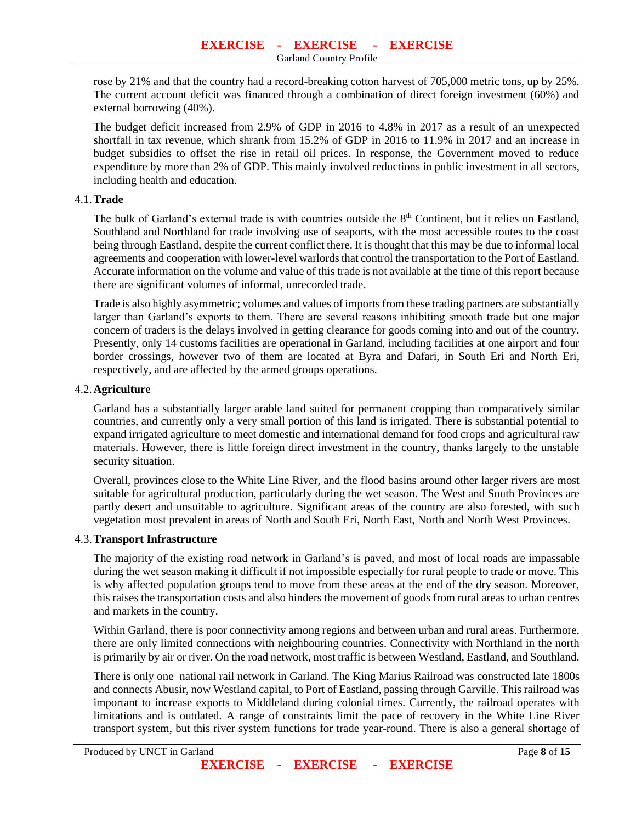rose by 21% and that the country had a record-breaking cotton harvest of 705,000 metric tons, up by 25%. The current account deficit was financed through a combination of direct foreign investment (60%) and external borrowing (40%).

The budget deficit increased from 2.9% of GDP in 2016 to 4.8% in 2017 as a result of an unexpected shortfall in tax revenue, which shrank from 15.2% of GDP in 2016 to 11.9% in 2017 and an increase in budget subsidies to offset the rise in retail oil prices. In response, the Government moved to reduce expenditure by more than 2% of GDP. This mainly involved reductions in public investment in all sectors, including health and education.

#### 4.1.**Trade**

The bulk of Garland's external trade is with countries outside the 8<sup>th</sup> Continent, but it relies on Eastland, Southland and Northland for trade involving use of seaports, with the most accessible routes to the coast being through Eastland, despite the current conflict there. It is thought that this may be due to informal local agreements and cooperation with lower-level warlords that control the transportation to the Port of Eastland. Accurate information on the volume and value of this trade is not available at the time of this report because there are significant volumes of informal, unrecorded trade.

Trade is also highly asymmetric; volumes and values of imports from these trading partners are substantially larger than Garland's exports to them. There are several reasons inhibiting smooth trade but one major concern of traders is the delays involved in getting clearance for goods coming into and out of the country. Presently, only 14 customs facilities are operational in Garland, including facilities at one airport and four border crossings, however two of them are located at Byra and Dafari, in South Eri and North Eri, respectively, and are affected by the armed groups operations.

#### 4.2.**Agriculture**

Garland has a substantially larger arable land suited for permanent cropping than comparatively similar countries, and currently only a very small portion of this land is irrigated. There is substantial potential to expand irrigated agriculture to meet domestic and international demand for food crops and agricultural raw materials. However, there is little foreign direct investment in the country, thanks largely to the unstable security situation.

Overall, provinces close to the White Line River, and the flood basins around other larger rivers are most suitable for agricultural production, particularly during the wet season. The West and South Provinces are partly desert and unsuitable to agriculture. Significant areas of the country are also forested, with such vegetation most prevalent in areas of North and South Eri, North East, North and North West Provinces.

#### 4.3.**Transport Infrastructure**

The majority of the existing road network in Garland's is paved, and most of local roads are impassable during the wet season making it difficult if not impossible especially for rural people to trade or move. This is why affected population groups tend to move from these areas at the end of the dry season. Moreover, this raises the transportation costs and also hinders the movement of goods from rural areas to urban centres and markets in the country.

Within Garland, there is poor connectivity among regions and between urban and rural areas. Furthermore, there are only limited connections with neighbouring countries. Connectivity with Northland in the north is primarily by air or river. On the road network, most traffic is between Westland, Eastland, and Southland.

There is only one national rail network in Garland. The King Marius Railroad was constructed late 1800s and connects Abusir, now Westland capital, to Port of Eastland, passing through Garville. This railroad was important to increase exports to Middleland during colonial times. Currently, the railroad operates with limitations and is outdated. A range of constraints limit the pace of recovery in the White Line River transport system, but this river system functions for trade year-round. There is also a general shortage of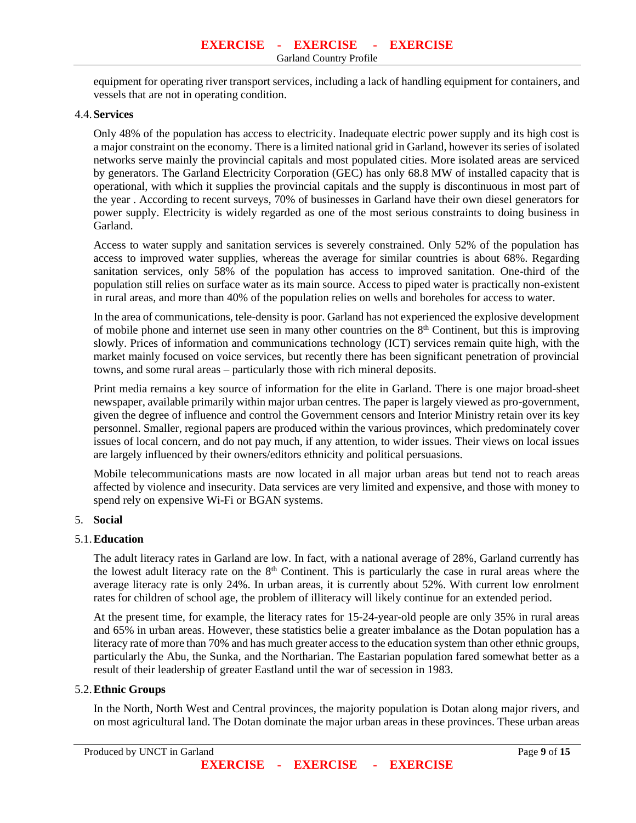equipment for operating river transport services, including a lack of handling equipment for containers, and vessels that are not in operating condition.

#### 4.4.**Services**

Only 48% of the population has access to electricity. Inadequate electric power supply and its high cost is a major constraint on the economy. There is a limited national grid in Garland, however its series of isolated networks serve mainly the provincial capitals and most populated cities. More isolated areas are serviced by generators. The Garland Electricity Corporation (GEC) has only 68.8 MW of installed capacity that is operational, with which it supplies the provincial capitals and the supply is discontinuous in most part of the year . According to recent surveys, 70% of businesses in Garland have their own diesel generators for power supply. Electricity is widely regarded as one of the most serious constraints to doing business in Garland.

Access to water supply and sanitation services is severely constrained. Only 52% of the population has access to improved water supplies, whereas the average for similar countries is about 68%. Regarding sanitation services, only 58% of the population has access to improved sanitation. One-third of the population still relies on surface water as its main source. Access to piped water is practically non-existent in rural areas, and more than 40% of the population relies on wells and boreholes for access to water.

In the area of communications, tele-density is poor. Garland has not experienced the explosive development of mobile phone and internet use seen in many other countries on the  $8<sup>th</sup>$  Continent, but this is improving slowly. Prices of information and communications technology (ICT) services remain quite high, with the market mainly focused on voice services, but recently there has been significant penetration of provincial towns, and some rural areas – particularly those with rich mineral deposits.

Print media remains a key source of information for the elite in Garland. There is one major broad-sheet newspaper, available primarily within major urban centres. The paper is largely viewed as pro-government, given the degree of influence and control the Government censors and Interior Ministry retain over its key personnel. Smaller, regional papers are produced within the various provinces, which predominately cover issues of local concern, and do not pay much, if any attention, to wider issues. Their views on local issues are largely influenced by their owners/editors ethnicity and political persuasions.

Mobile telecommunications masts are now located in all major urban areas but tend not to reach areas affected by violence and insecurity. Data services are very limited and expensive, and those with money to spend rely on expensive Wi-Fi or BGAN systems.

## 5. **Social**

## 5.1.**Education**

The adult literacy rates in Garland are low. In fact, with a national average of 28%, Garland currently has the lowest adult literacy rate on the  $8<sup>th</sup>$  Continent. This is particularly the case in rural areas where the average literacy rate is only 24%. In urban areas, it is currently about 52%. With current low enrolment rates for children of school age, the problem of illiteracy will likely continue for an extended period.

At the present time, for example, the literacy rates for 15-24-year-old people are only 35% in rural areas and 65% in urban areas. However, these statistics belie a greater imbalance as the Dotan population has a literacy rate of more than 70% and has much greater access to the education system than other ethnic groups, particularly the Abu, the Sunka, and the Northarian. The Eastarian population fared somewhat better as a result of their leadership of greater Eastland until the war of secession in 1983.

## 5.2.**Ethnic Groups**

In the North, North West and Central provinces, the majority population is Dotan along major rivers, and on most agricultural land. The Dotan dominate the major urban areas in these provinces. These urban areas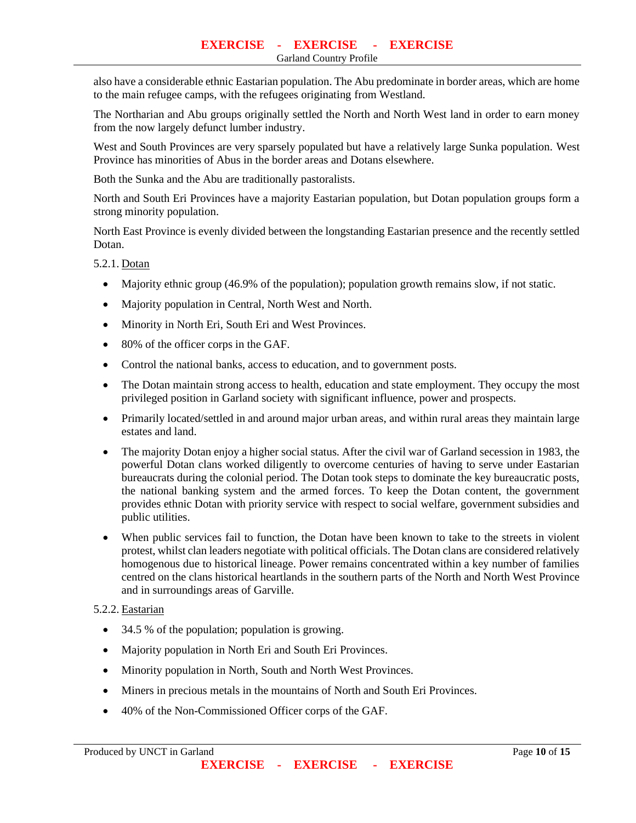also have a considerable ethnic Eastarian population. The Abu predominate in border areas, which are home to the main refugee camps, with the refugees originating from Westland.

The Northarian and Abu groups originally settled the North and North West land in order to earn money from the now largely defunct lumber industry.

West and South Provinces are very sparsely populated but have a relatively large Sunka population. West Province has minorities of Abus in the border areas and Dotans elsewhere.

Both the Sunka and the Abu are traditionally pastoralists.

North and South Eri Provinces have a majority Eastarian population, but Dotan population groups form a strong minority population.

North East Province is evenly divided between the longstanding Eastarian presence and the recently settled Dotan.

5.2.1. Dotan

- Majority ethnic group (46.9% of the population); population growth remains slow, if not static.
- Majority population in Central, North West and North.
- Minority in North Eri, South Eri and West Provinces.
- 80% of the officer corps in the GAF.
- Control the national banks, access to education, and to government posts.
- The Dotan maintain strong access to health, education and state employment. They occupy the most privileged position in Garland society with significant influence, power and prospects.
- Primarily located/settled in and around major urban areas, and within rural areas they maintain large estates and land.
- The majority Dotan enjoy a higher social status. After the civil war of Garland secession in 1983, the powerful Dotan clans worked diligently to overcome centuries of having to serve under Eastarian bureaucrats during the colonial period. The Dotan took steps to dominate the key bureaucratic posts, the national banking system and the armed forces. To keep the Dotan content, the government provides ethnic Dotan with priority service with respect to social welfare, government subsidies and public utilities.
- When public services fail to function, the Dotan have been known to take to the streets in violent protest, whilst clan leaders negotiate with political officials. The Dotan clans are considered relatively homogenous due to historical lineage. Power remains concentrated within a key number of families centred on the clans historical heartlands in the southern parts of the North and North West Province and in surroundings areas of Garville.

# 5.2.2. Eastarian

- 34.5 % of the population; population is growing.
- Majority population in North Eri and South Eri Provinces.
- Minority population in North, South and North West Provinces.
- Miners in precious metals in the mountains of North and South Eri Provinces.
- 40% of the Non-Commissioned Officer corps of the GAF.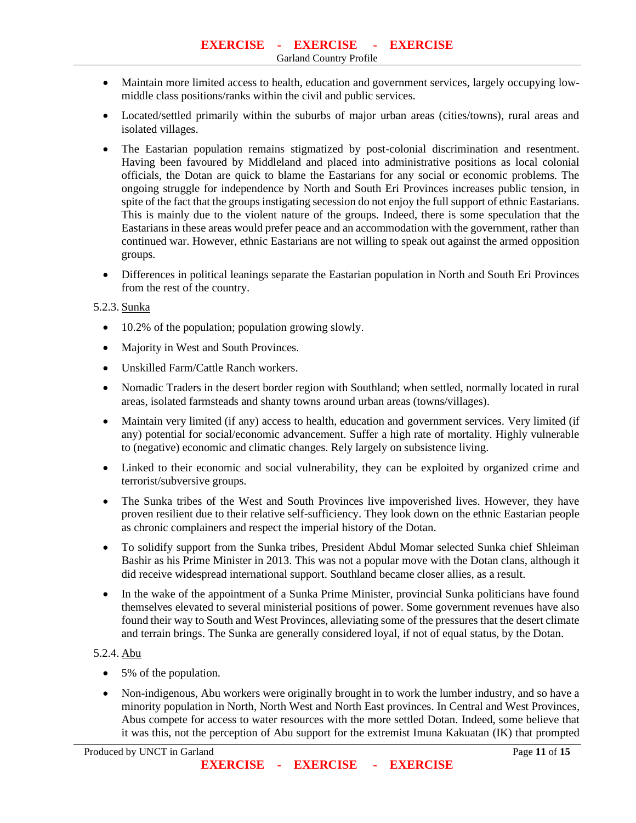- Maintain more limited access to health, education and government services, largely occupying lowmiddle class positions/ranks within the civil and public services.
- Located/settled primarily within the suburbs of major urban areas (cities/towns), rural areas and isolated villages.
- The Eastarian population remains stigmatized by post-colonial discrimination and resentment. Having been favoured by Middleland and placed into administrative positions as local colonial officials, the Dotan are quick to blame the Eastarians for any social or economic problems. The ongoing struggle for independence by North and South Eri Provinces increases public tension, in spite of the fact that the groups instigating secession do not enjoy the full support of ethnic Eastarians. This is mainly due to the violent nature of the groups. Indeed, there is some speculation that the Eastarians in these areas would prefer peace and an accommodation with the government, rather than continued war. However, ethnic Eastarians are not willing to speak out against the armed opposition groups.
- Differences in political leanings separate the Eastarian population in North and South Eri Provinces from the rest of the country.

## 5.2.3. Sunka

- 10.2% of the population; population growing slowly.
- Majority in West and South Provinces.
- Unskilled Farm/Cattle Ranch workers.
- Nomadic Traders in the desert border region with Southland; when settled, normally located in rural areas, isolated farmsteads and shanty towns around urban areas (towns/villages).
- Maintain very limited (if any) access to health, education and government services. Very limited (if any) potential for social/economic advancement. Suffer a high rate of mortality. Highly vulnerable to (negative) economic and climatic changes. Rely largely on subsistence living.
- Linked to their economic and social vulnerability, they can be exploited by organized crime and terrorist/subversive groups.
- The Sunka tribes of the West and South Provinces live impoverished lives. However, they have proven resilient due to their relative self-sufficiency. They look down on the ethnic Eastarian people as chronic complainers and respect the imperial history of the Dotan.
- To solidify support from the Sunka tribes, President Abdul Momar selected Sunka chief Shleiman Bashir as his Prime Minister in 2013. This was not a popular move with the Dotan clans, although it did receive widespread international support. Southland became closer allies, as a result.
- In the wake of the appointment of a Sunka Prime Minister, provincial Sunka politicians have found themselves elevated to several ministerial positions of power. Some government revenues have also found their way to South and West Provinces, alleviating some of the pressures that the desert climate and terrain brings. The Sunka are generally considered loyal, if not of equal status, by the Dotan.

## 5.2.4. Abu

- 5% of the population.
- Non-indigenous, Abu workers were originally brought in to work the lumber industry, and so have a minority population in North, North West and North East provinces. In Central and West Provinces, Abus compete for access to water resources with the more settled Dotan. Indeed, some believe that it was this, not the perception of Abu support for the extremist Imuna Kakuatan (IK) that prompted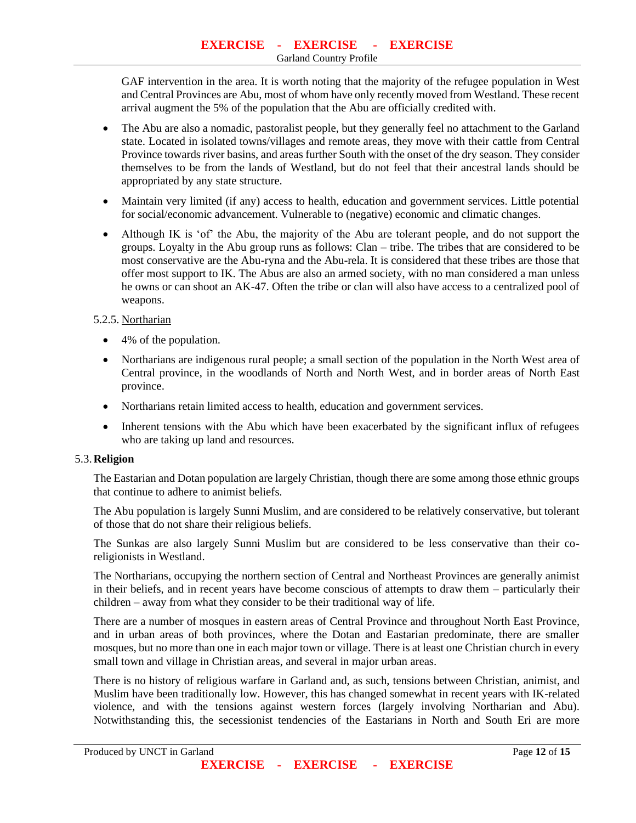GAF intervention in the area. It is worth noting that the majority of the refugee population in West and Central Provinces are Abu, most of whom have only recently moved from Westland. These recent arrival augment the 5% of the population that the Abu are officially credited with.

- The Abu are also a nomadic, pastoralist people, but they generally feel no attachment to the Garland state. Located in isolated towns/villages and remote areas, they move with their cattle from Central Province towards river basins, and areas further South with the onset of the dry season. They consider themselves to be from the lands of Westland, but do not feel that their ancestral lands should be appropriated by any state structure.
- Maintain very limited (if any) access to health, education and government services. Little potential for social/economic advancement. Vulnerable to (negative) economic and climatic changes.
- Although IK is 'of' the Abu, the majority of the Abu are tolerant people, and do not support the groups. Loyalty in the Abu group runs as follows: Clan – tribe. The tribes that are considered to be most conservative are the Abu-ryna and the Abu-rela. It is considered that these tribes are those that offer most support to IK. The Abus are also an armed society, with no man considered a man unless he owns or can shoot an AK-47. Often the tribe or clan will also have access to a centralized pool of weapons.

# 5.2.5. Northarian

- 4% of the population.
- Northarians are indigenous rural people; a small section of the population in the North West area of Central province, in the woodlands of North and North West, and in border areas of North East province.
- Northarians retain limited access to health, education and government services.
- Inherent tensions with the Abu which have been exacerbated by the significant influx of refugees who are taking up land and resources.

# 5.3.**Religion**

The Eastarian and Dotan population are largely Christian, though there are some among those ethnic groups that continue to adhere to animist beliefs.

The Abu population is largely Sunni Muslim, and are considered to be relatively conservative, but tolerant of those that do not share their religious beliefs.

The Sunkas are also largely Sunni Muslim but are considered to be less conservative than their coreligionists in Westland.

The Northarians, occupying the northern section of Central and Northeast Provinces are generally animist in their beliefs, and in recent years have become conscious of attempts to draw them – particularly their children – away from what they consider to be their traditional way of life.

There are a number of mosques in eastern areas of Central Province and throughout North East Province, and in urban areas of both provinces, where the Dotan and Eastarian predominate, there are smaller mosques, but no more than one in each major town or village. There is at least one Christian church in every small town and village in Christian areas, and several in major urban areas.

There is no history of religious warfare in Garland and, as such, tensions between Christian, animist, and Muslim have been traditionally low. However, this has changed somewhat in recent years with IK-related violence, and with the tensions against western forces (largely involving Northarian and Abu). Notwithstanding this, the secessionist tendencies of the Eastarians in North and South Eri are more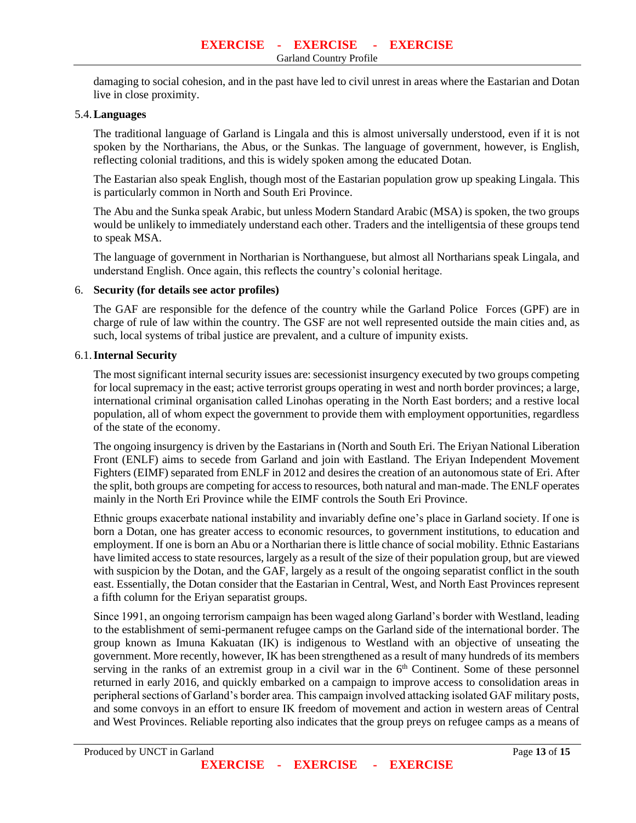damaging to social cohesion, and in the past have led to civil unrest in areas where the Eastarian and Dotan live in close proximity.

#### 5.4.**Languages**

The traditional language of Garland is Lingala and this is almost universally understood, even if it is not spoken by the Northarians, the Abus, or the Sunkas. The language of government, however, is English, reflecting colonial traditions, and this is widely spoken among the educated Dotan.

The Eastarian also speak English, though most of the Eastarian population grow up speaking Lingala. This is particularly common in North and South Eri Province.

The Abu and the Sunka speak Arabic, but unless Modern Standard Arabic (MSA) is spoken, the two groups would be unlikely to immediately understand each other. Traders and the intelligentsia of these groups tend to speak MSA.

The language of government in Northarian is Northanguese, but almost all Northarians speak Lingala, and understand English. Once again, this reflects the country's colonial heritage.

#### 6. **Security (for details see actor profiles)**

The GAF are responsible for the defence of the country while the Garland Police Forces (GPF) are in charge of rule of law within the country. The GSF are not well represented outside the main cities and, as such, local systems of tribal justice are prevalent, and a culture of impunity exists.

#### 6.1.**Internal Security**

The most significant internal security issues are: secessionist insurgency executed by two groups competing for local supremacy in the east; active terrorist groups operating in west and north border provinces; a large, international criminal organisation called Linohas operating in the North East borders; and a restive local population, all of whom expect the government to provide them with employment opportunities, regardless of the state of the economy.

The ongoing insurgency is driven by the Eastarians in (North and South Eri. The Eriyan National Liberation Front (ENLF) aims to secede from Garland and join with Eastland. The Eriyan Independent Movement Fighters (EIMF) separated from ENLF in 2012 and desires the creation of an autonomous state of Eri. After the split, both groups are competing for access to resources, both natural and man-made. The ENLF operates mainly in the North Eri Province while the EIMF controls the South Eri Province.

Ethnic groups exacerbate national instability and invariably define one's place in Garland society. If one is born a Dotan, one has greater access to economic resources, to government institutions, to education and employment. If one is born an Abu or a Northarian there is little chance of social mobility. Ethnic Eastarians have limited access to state resources, largely as a result of the size of their population group, but are viewed with suspicion by the Dotan, and the GAF, largely as a result of the ongoing separatist conflict in the south east. Essentially, the Dotan consider that the Eastarian in Central, West, and North East Provinces represent a fifth column for the Eriyan separatist groups.

Since 1991, an ongoing terrorism campaign has been waged along Garland's border with Westland, leading to the establishment of semi-permanent refugee camps on the Garland side of the international border. The group known as Imuna Kakuatan (IK) is indigenous to Westland with an objective of unseating the government. More recently, however, IK has been strengthened as a result of many hundreds of its members serving in the ranks of an extremist group in a civil war in the  $6<sup>th</sup>$  Continent. Some of these personnel returned in early 2016, and quickly embarked on a campaign to improve access to consolidation areas in peripheral sections of Garland's border area. This campaign involved attacking isolated GAF military posts, and some convoys in an effort to ensure IK freedom of movement and action in western areas of Central and West Provinces. Reliable reporting also indicates that the group preys on refugee camps as a means of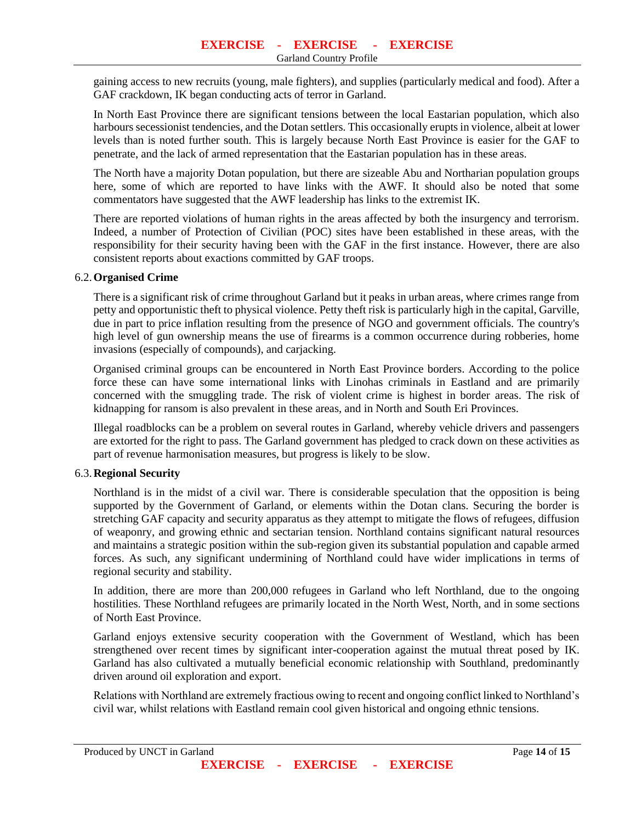gaining access to new recruits (young, male fighters), and supplies (particularly medical and food). After a GAF crackdown, IK began conducting acts of terror in Garland.

In North East Province there are significant tensions between the local Eastarian population, which also harbours secessionist tendencies, and the Dotan settlers. This occasionally erupts in violence, albeit at lower levels than is noted further south. This is largely because North East Province is easier for the GAF to penetrate, and the lack of armed representation that the Eastarian population has in these areas.

The North have a majority Dotan population, but there are sizeable Abu and Northarian population groups here, some of which are reported to have links with the AWF. It should also be noted that some commentators have suggested that the AWF leadership has links to the extremist IK.

There are reported violations of human rights in the areas affected by both the insurgency and terrorism. Indeed, a number of Protection of Civilian (POC) sites have been established in these areas, with the responsibility for their security having been with the GAF in the first instance. However, there are also consistent reports about exactions committed by GAF troops.

## 6.2.**Organised Crime**

There is a significant risk of crime throughout Garland but it peaks in urban areas, where crimes range from petty and opportunistic theft to physical violence. Petty theft risk is particularly high in the capital, Garville, due in part to price inflation resulting from the presence of NGO and government officials. The country's high level of gun ownership means the use of firearms is a common occurrence during robberies, home invasions (especially of compounds), and carjacking.

Organised criminal groups can be encountered in North East Province borders. According to the police force these can have some international links with Linohas criminals in Eastland and are primarily concerned with the smuggling trade. The risk of violent crime is highest in border areas. The risk of kidnapping for ransom is also prevalent in these areas, and in North and South Eri Provinces.

Illegal roadblocks can be a problem on several routes in Garland, whereby vehicle drivers and passengers are extorted for the right to pass. The Garland government has pledged to crack down on these activities as part of revenue harmonisation measures, but progress is likely to be slow.

## 6.3.**Regional Security**

Northland is in the midst of a civil war. There is considerable speculation that the opposition is being supported by the Government of Garland, or elements within the Dotan clans. Securing the border is stretching GAF capacity and security apparatus as they attempt to mitigate the flows of refugees, diffusion of weaponry, and growing ethnic and sectarian tension. Northland contains significant natural resources and maintains a strategic position within the sub-region given its substantial population and capable armed forces. As such, any significant undermining of Northland could have wider implications in terms of regional security and stability.

In addition, there are more than 200,000 refugees in Garland who left Northland, due to the ongoing hostilities. These Northland refugees are primarily located in the North West, North, and in some sections of North East Province.

Garland enjoys extensive security cooperation with the Government of Westland, which has been strengthened over recent times by significant inter-cooperation against the mutual threat posed by IK. Garland has also cultivated a mutually beneficial economic relationship with Southland, predominantly driven around oil exploration and export.

Relations with Northland are extremely fractious owing to recent and ongoing conflict linked to Northland's civil war, whilst relations with Eastland remain cool given historical and ongoing ethnic tensions.